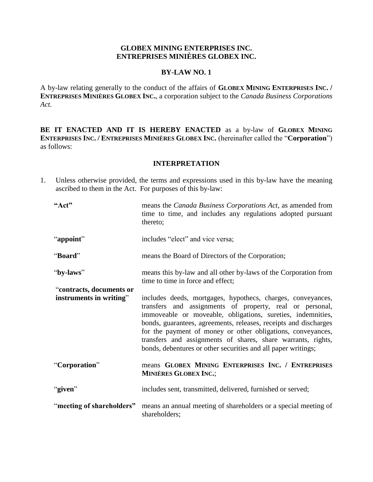## **GLOBEX MINING ENTERPRISES INC. ENTREPRISES MINIÈRES GLOBEX INC.**

#### **BY-LAW NO. 1**

A by-law relating generally to the conduct of the affairs of **GLOBEX MINING ENTERPRISES INC. / ENTREPRISES MINIÈRES GLOBEX INC.**, a corporation subject to the *Canada Business Corporations Act.*

**BE IT ENACTED AND IT IS HEREBY ENACTED** as a by-law of **GLOBEX MINING ENTERPRISES INC. / ENTREPRISES MINIÈRES GLOBEX INC.** (hereinafter called the "**Corporation**") as follows:

### **INTERPRETATION**

1. Unless otherwise provided, the terms and expressions used in this by-law have the meaning ascribed to them in the Act. For purposes of this by-law:

| "Act"                     | means the <i>Canada Business Corporations Act</i> , as amended from<br>time to time, and includes any regulations adopted pursuant<br>thereto;                                                                                                                                                                                                                                                                                                             |
|---------------------------|------------------------------------------------------------------------------------------------------------------------------------------------------------------------------------------------------------------------------------------------------------------------------------------------------------------------------------------------------------------------------------------------------------------------------------------------------------|
| "appoint"                 | includes "elect" and vice versa;                                                                                                                                                                                                                                                                                                                                                                                                                           |
| "Board"                   | means the Board of Directors of the Corporation;                                                                                                                                                                                                                                                                                                                                                                                                           |
| "by-laws"                 | means this by-law and all other by-laws of the Corporation from<br>time to time in force and effect;                                                                                                                                                                                                                                                                                                                                                       |
| "contracts, documents or  |                                                                                                                                                                                                                                                                                                                                                                                                                                                            |
| instruments in writing"   | includes deeds, mortgages, hypothecs, charges, conveyances,<br>transfers and assignments of property, real or personal,<br>immoveable or moveable, obligations, sureties, indemnities,<br>bonds, guarantees, agreements, releases, receipts and discharges<br>for the payment of money or other obligations, conveyances,<br>transfers and assignments of shares, share warrants, rights,<br>bonds, debentures or other securities and all paper writings; |
| "Corporation"             | means GLOBEX MINING ENTERPRISES INC. / ENTREPRISES<br><b>MINIÈRES GLOBEX INC.;</b>                                                                                                                                                                                                                                                                                                                                                                         |
| "given"                   | includes sent, transmitted, delivered, furnished or served;                                                                                                                                                                                                                                                                                                                                                                                                |
| "meeting of shareholders" | means an annual meeting of shareholders or a special meeting of<br>shareholders;                                                                                                                                                                                                                                                                                                                                                                           |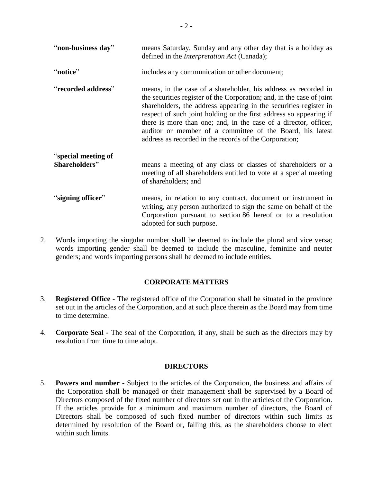| "non-business day"                   | means Saturday, Sunday and any other day that is a holiday as<br>defined in the <i>Interpretation Act</i> (Canada);                                                                                                                                                                                                                                                                                                                                                            |
|--------------------------------------|--------------------------------------------------------------------------------------------------------------------------------------------------------------------------------------------------------------------------------------------------------------------------------------------------------------------------------------------------------------------------------------------------------------------------------------------------------------------------------|
| "notice"                             | includes any communication or other document;                                                                                                                                                                                                                                                                                                                                                                                                                                  |
| "recorded address"                   | means, in the case of a shareholder, his address as recorded in<br>the securities register of the Corporation; and, in the case of joint<br>shareholders, the address appearing in the securities register in<br>respect of such joint holding or the first address so appearing if<br>there is more than one; and, in the case of a director, officer,<br>auditor or member of a committee of the Board, his latest<br>address as recorded in the records of the Corporation; |
| "special meeting of<br>Shareholders" | means a meeting of any class or classes of shareholders or a<br>meeting of all shareholders entitled to vote at a special meeting<br>of shareholders; and                                                                                                                                                                                                                                                                                                                      |
| "signing officer"                    | means, in relation to any contract, document or instrument in<br>writing, any person authorized to sign the same on behalf of the<br>Corporation pursuant to section 86 hereof or to a resolution<br>adopted for such purpose.                                                                                                                                                                                                                                                 |

2. Words importing the singular number shall be deemed to include the plural and vice versa; words importing gender shall be deemed to include the masculine, feminine and neuter genders; and words importing persons shall be deemed to include entities.

## **CORPORATE MATTERS**

- 3. **Registered Office -** The registered office of the Corporation shall be situated in the province set out in the articles of the Corporation, and at such place therein as the Board may from time to time determine.
- 4. **Corporate Seal -** The seal of the Corporation, if any, shall be such as the directors may by resolution from time to time adopt.

## **DIRECTORS**

5. **Powers and number -** Subject to the articles of the Corporation, the business and affairs of the Corporation shall be managed or their management shall be supervised by a Board of Directors composed of the fixed number of directors set out in the articles of the Corporation. If the articles provide for a minimum and maximum number of directors, the Board of Directors shall be composed of such fixed number of directors within such limits as determined by resolution of the Board or, failing this, as the shareholders choose to elect within such limits.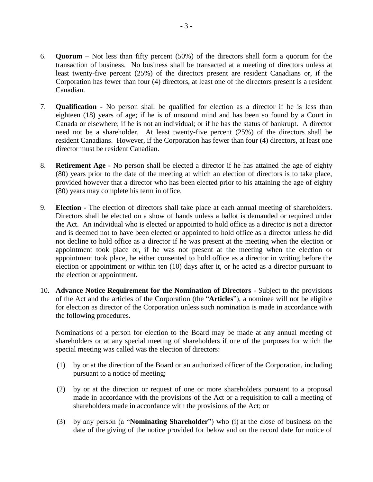- 6. **Quorum –** Not less than fifty percent (50%) of the directors shall form a quorum for the transaction of business. No business shall be transacted at a meeting of directors unless at least twenty-five percent (25%) of the directors present are resident Canadians or, if the Corporation has fewer than four (4) directors, at least one of the directors present is a resident Canadian.
- 7. **Qualification -** No person shall be qualified for election as a director if he is less than eighteen (18) years of age; if he is of unsound mind and has been so found by a Court in Canada or elsewhere; if he is not an individual; or if he has the status of bankrupt. A director need not be a shareholder. At least twenty-five percent (25%) of the directors shall be resident Canadians. However, if the Corporation has fewer than four (4) directors, at least one director must be resident Canadian.
- 8. **Retirement Age -** No person shall be elected a director if he has attained the age of eighty (80) years prior to the date of the meeting at which an election of directors is to take place, provided however that a director who has been elected prior to his attaining the age of eighty (80) years may complete his term in office.
- 9. **Election -** The election of directors shall take place at each annual meeting of shareholders. Directors shall be elected on a show of hands unless a ballot is demanded or required under the Act. An individual who is elected or appointed to hold office as a director is not a director and is deemed not to have been elected or appointed to hold office as a director unless he did not decline to hold office as a director if he was present at the meeting when the election or appointment took place or, if he was not present at the meeting when the election or appointment took place, he either consented to hold office as a director in writing before the election or appointment or within ten (10) days after it, or he acted as a director pursuant to the election or appointment.
- <span id="page-2-0"></span>10. **Advance Notice Requirement for the Nomination of Directors** - Subject to the provisions of the Act and the articles of the Corporation (the "**Articles**"), a nominee will not be eligible for election as director of the Corporation unless such nomination is made in accordance with the following procedures.

Nominations of a person for election to the Board may be made at any annual meeting of shareholders or at any special meeting of shareholders if one of the purposes for which the special meeting was called was the election of directors:

- (1) by or at the direction of the Board or an authorized officer of the Corporation, including pursuant to a notice of meeting;
- (2) by or at the direction or request of one or more shareholders pursuant to a proposal made in accordance with the provisions of the Act or a requisition to call a meeting of shareholders made in accordance with the provisions of the Act; or
- (3) by any person (a "**Nominating Shareholder**") who (i) at the close of business on the date of the giving of the notice provided for below and on the record date for notice of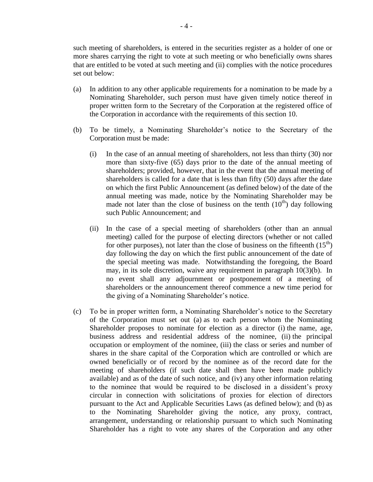- (a) In addition to any other applicable requirements for a nomination to be made by a Nominating Shareholder, such person must have given timely notice thereof in proper written form to the Secretary of the Corporation at the registered office of the Corporation in accordance with the requirements of this section [10.](#page-2-0)
- <span id="page-3-0"></span>(b) To be timely, a Nominating Shareholder's notice to the Secretary of the Corporation must be made:
	- (i) In the case of an annual meeting of shareholders, not less than thirty (30) nor more than sixty-five (65) days prior to the date of the annual meeting of shareholders; provided, however, that in the event that the annual meeting of shareholders is called for a date that is less than fifty (50) days after the date on which the first Public Announcement (as defined below) of the date of the annual meeting was made, notice by the Nominating Shareholder may be made not later than the close of business on the tenth  $(10<sup>th</sup>)$  day following such Public Announcement; and
	- (ii) In the case of a special meeting of shareholders (other than an annual meeting) called for the purpose of electing directors (whether or not called for other purposes), not later than the close of business on the fifteenth  $(15<sup>th</sup>)$ day following the day on which the first public announcement of the date of the special meeting was made. Notwithstanding the foregoing, the Board may, in its sole discretion, waive any requirement in paragraph [10\(3\)](#page-2-0)[\(b\).](#page-3-0) In no event shall any adjournment or postponement of a meeting of shareholders or the announcement thereof commence a new time period for the giving of a Nominating Shareholder's notice.
- (c) To be in proper written form, a Nominating Shareholder's notice to the Secretary of the Corporation must set out (a) as to each person whom the Nominating Shareholder proposes to nominate for election as a director (i) the name, age, business address and residential address of the nominee, (ii) the principal occupation or employment of the nominee, (iii) the class or series and number of shares in the share capital of the Corporation which are controlled or which are owned beneficially or of record by the nominee as of the record date for the meeting of shareholders (if such date shall then have been made publicly available) and as of the date of such notice, and (iv) any other information relating to the nominee that would be required to be disclosed in a dissident's proxy circular in connection with solicitations of proxies for election of directors pursuant to the Act and Applicable Securities Laws (as defined below); and (b) as to the Nominating Shareholder giving the notice, any proxy, contract, arrangement, understanding or relationship pursuant to which such Nominating Shareholder has a right to vote any shares of the Corporation and any other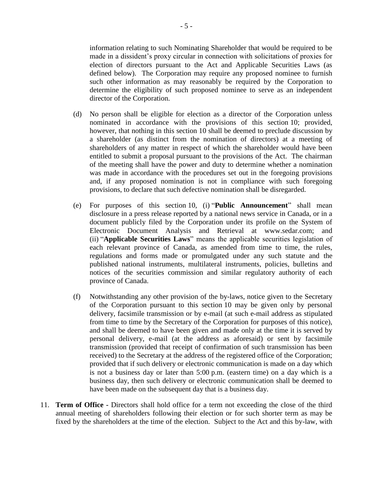information relating to such Nominating Shareholder that would be required to be made in a dissident's proxy circular in connection with solicitations of proxies for election of directors pursuant to the Act and Applicable Securities Laws (as defined below). The Corporation may require any proposed nominee to furnish such other information as may reasonably be required by the Corporation to determine the eligibility of such proposed nominee to serve as an independent director of the Corporation.

- (d) No person shall be eligible for election as a director of the Corporation unless nominated in accordance with the provisions of this section 10; provided, however, that nothing in this section 10 shall be deemed to preclude discussion by a shareholder (as distinct from the nomination of directors) at a meeting of shareholders of any matter in respect of which the shareholder would have been entitled to submit a proposal pursuant to the provisions of the Act. The chairman of the meeting shall have the power and duty to determine whether a nomination was made in accordance with the procedures set out in the foregoing provisions and, if any proposed nomination is not in compliance with such foregoing provisions, to declare that such defective nomination shall be disregarded.
- (e) For purposes of this section 10, (i) "**Public Announcement**" shall mean disclosure in a press release reported by a national news service in Canada, or in a document publicly filed by the Corporation under its profile on the System of Electronic Document Analysis and Retrieval at www.sedar.com; and (ii) "**Applicable Securities Laws**" means the applicable securities legislation of each relevant province of Canada, as amended from time to time, the rules, regulations and forms made or promulgated under any such statute and the published national instruments, multilateral instruments, policies, bulletins and notices of the securities commission and similar regulatory authority of each province of Canada.
- (f) Notwithstanding any other provision of the by-laws, notice given to the Secretary of the Corporation pursuant to this section 10 may be given only by personal delivery, facsimile transmission or by e-mail (at such e-mail address as stipulated from time to time by the Secretary of the Corporation for purposes of this notice), and shall be deemed to have been given and made only at the time it is served by personal delivery, e-mail (at the address as aforesaid) or sent by facsimile transmission (provided that receipt of confirmation of such transmission has been received) to the Secretary at the address of the registered office of the Corporation; provided that if such delivery or electronic communication is made on a day which is not a business day or later than 5:00 p.m. (eastern time) on a day which is a business day, then such delivery or electronic communication shall be deemed to have been made on the subsequent day that is a business day.
- 11. **Term of Office -** Directors shall hold office for a term not exceeding the close of the third annual meeting of shareholders following their election or for such shorter term as may be fixed by the shareholders at the time of the election. Subject to the Act and this by-law, with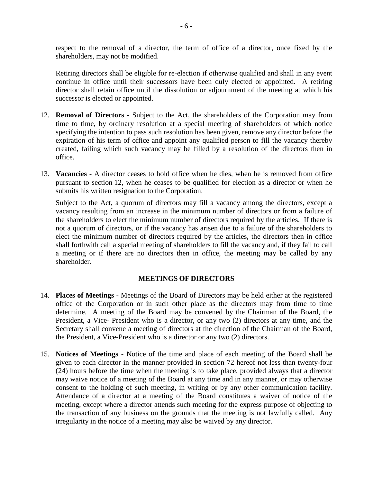respect to the removal of a director, the term of office of a director, once fixed by the shareholders, may not be modified.

Retiring directors shall be eligible for re-election if otherwise qualified and shall in any event continue in office until their successors have been duly elected or appointed. A retiring director shall retain office until the dissolution or adjournment of the meeting at which his successor is elected or appointed.

- <span id="page-5-0"></span>12. **Removal of Directors -** Subject to the Act, the shareholders of the Corporation may from time to time, by ordinary resolution at a special meeting of shareholders of which notice specifying the intention to pass such resolution has been given, remove any director before the expiration of his term of office and appoint any qualified person to fill the vacancy thereby created, failing which such vacancy may be filled by a resolution of the directors then in office.
- 13. **Vacancies -** A director ceases to hold office when he dies, when he is removed from office pursuant to section [12,](#page-5-0) when he ceases to be qualified for election as a director or when he submits his written resignation to the Corporation.

Subject to the Act, a quorum of directors may fill a vacancy among the directors, except a vacancy resulting from an increase in the minimum number of directors or from a failure of the shareholders to elect the minimum number of directors required by the articles. If there is not a quorum of directors, or if the vacancy has arisen due to a failure of the shareholders to elect the minimum number of directors required by the articles, the directors then in office shall forthwith call a special meeting of shareholders to fill the vacancy and, if they fail to call a meeting or if there are no directors then in office, the meeting may be called by any shareholder.

## **MEETINGS OF DIRECTORS**

- 14. **Places of Meetings -** Meetings of the Board of Directors may be held either at the registered office of the Corporation or in such other place as the directors may from time to time determine. A meeting of the Board may be convened by the Chairman of the Board, the President, a Vice- President who is a director, or any two (2) directors at any time, and the Secretary shall convene a meeting of directors at the direction of the Chairman of the Board, the President, a Vice-President who is a director or any two (2) directors.
- 15. **Notices of Meetings -** Notice of the time and place of each meeting of the Board shall be given to each director in the manner provided in section [72](#page-19-0) hereof not less than twenty-four (24) hours before the time when the meeting is to take place, provided always that a director may waive notice of a meeting of the Board at any time and in any manner, or may otherwise consent to the holding of such meeting, in writing or by any other communication facility. Attendance of a director at a meeting of the Board constitutes a waiver of notice of the meeting, except where a director attends such meeting for the express purpose of objecting to the transaction of any business on the grounds that the meeting is not lawfully called. Any irregularity in the notice of a meeting may also be waived by any director.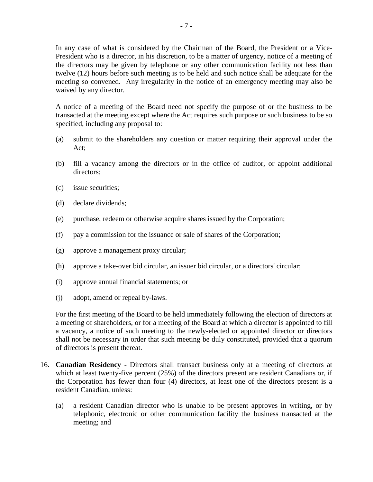In any case of what is considered by the Chairman of the Board, the President or a Vice-President who is a director, in his discretion, to be a matter of urgency, notice of a meeting of the directors may be given by telephone or any other communication facility not less than twelve (12) hours before such meeting is to be held and such notice shall be adequate for the meeting so convened. Any irregularity in the notice of an emergency meeting may also be waived by any director.

A notice of a meeting of the Board need not specify the purpose of or the business to be transacted at the meeting except where the Act requires such purpose or such business to be so specified, including any proposal to:

- (a) submit to the shareholders any question or matter requiring their approval under the Act;
- (b) fill a vacancy among the directors or in the office of auditor, or appoint additional directors;
- (c) issue securities;
- (d) declare dividends;
- (e) purchase, redeem or otherwise acquire shares issued by the Corporation;
- (f) pay a commission for the issuance or sale of shares of the Corporation;
- (g) approve a management proxy circular;
- (h) approve a take-over bid circular, an issuer bid circular, or a directors' circular;
- (i) approve annual financial statements; or
- (j) adopt, amend or repeal by-laws.

For the first meeting of the Board to be held immediately following the election of directors at a meeting of shareholders, or for a meeting of the Board at which a director is appointed to fill a vacancy, a notice of such meeting to the newly-elected or appointed director or directors shall not be necessary in order that such meeting be duly constituted, provided that a quorum of directors is present thereat.

- 16. **Canadian Residency -** Directors shall transact business only at a meeting of directors at which at least twenty-five percent (25%) of the directors present are resident Canadians or, if the Corporation has fewer than four (4) directors, at least one of the directors present is a resident Canadian, unless:
	- (a) a resident Canadian director who is unable to be present approves in writing, or by telephonic, electronic or other communication facility the business transacted at the meeting; and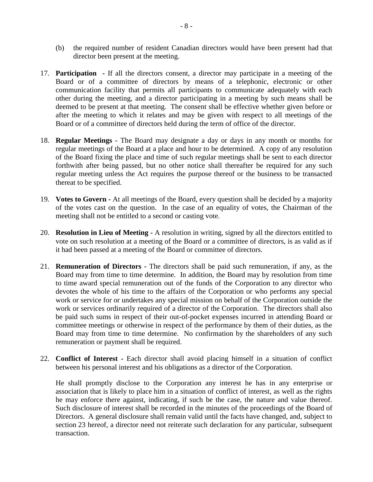- (b) the required number of resident Canadian directors would have been present had that director been present at the meeting.
- 17. **Participation -** If all the directors consent, a director may participate in a meeting of the Board or of a committee of directors by means of a telephonic, electronic or other communication facility that permits all participants to communicate adequately with each other during the meeting, and a director participating in a meeting by such means shall be deemed to be present at that meeting. The consent shall be effective whether given before or after the meeting to which it relates and may be given with respect to all meetings of the Board or of a committee of directors held during the term of office of the director.
- 18. **Regular Meetings -** The Board may designate a day or days in any month or months for regular meetings of the Board at a place and hour to be determined. A copy of any resolution of the Board fixing the place and time of such regular meetings shall be sent to each director forthwith after being passed, but no other notice shall thereafter be required for any such regular meeting unless the Act requires the purpose thereof or the business to be transacted thereat to be specified.
- 19. **Votes to Govern -** At all meetings of the Board, every question shall be decided by a majority of the votes cast on the question. In the case of an equality of votes, the Chairman of the meeting shall not be entitled to a second or casting vote.
- 20. **Resolution in Lieu of Meeting -** A resolution in writing, signed by all the directors entitled to vote on such resolution at a meeting of the Board or a committee of directors, is as valid as if it had been passed at a meeting of the Board or committee of directors.
- 21. **Remuneration of Directors -** The directors shall be paid such remuneration, if any, as the Board may from time to time determine. In addition, the Board may by resolution from time to time award special remuneration out of the funds of the Corporation to any director who devotes the whole of his time to the affairs of the Corporation or who performs any special work or service for or undertakes any special mission on behalf of the Corporation outside the work or services ordinarily required of a director of the Corporation. The directors shall also be paid such sums in respect of their out-of-pocket expenses incurred in attending Board or committee meetings or otherwise in respect of the performance by them of their duties, as the Board may from time to time determine. No confirmation by the shareholders of any such remuneration or payment shall be required.
- 22. **Conflict of Interest -** Each director shall avoid placing himself in a situation of conflict between his personal interest and his obligations as a director of the Corporation.

He shall promptly disclose to the Corporation any interest he has in any enterprise or association that is likely to place him in a situation of conflict of interest, as well as the rights he may enforce there against, indicating, if such be the case, the nature and value thereof. Such disclosure of interest shall be recorded in the minutes of the proceedings of the Board of Directors. A general disclosure shall remain valid until the facts have changed, and, subject to section [23](#page-8-0) hereof, a director need not reiterate such declaration for any particular, subsequent transaction.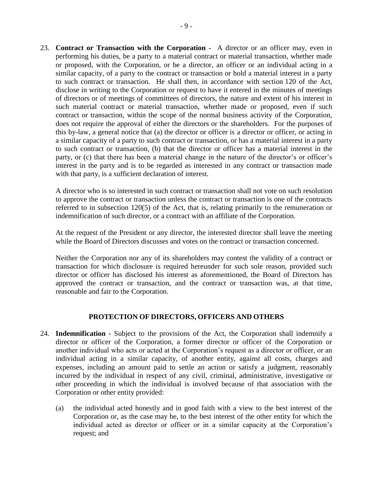<span id="page-8-0"></span>23. **Contract or Transaction with the Corporation -** A director or an officer may, even in performing his duties, be a party to a material contract or material transaction, whether made or proposed, with the Corporation, or be a director, an officer or an individual acting in a similar capacity, of a party to the contract or transaction or hold a material interest in a party to such contract or transaction. He shall then, in accordance with section 120 of the Act, disclose in writing to the Corporation or request to have it entered in the minutes of meetings of directors or of meetings of committees of directors, the nature and extent of his interest in such material contract or material transaction, whether made or proposed, even if such contract or transaction, within the scope of the normal business activity of the Corporation, does not require the approval of either the directors or the shareholders. For the purposes of this by-law, a general notice that (a) the director or officer is a director or officer, or acting in a similar capacity of a party to such contract or transaction, or has a material interest in a party to such contract or transaction, (b) that the director or officer has a material interest in the party, or (c) that there has been a material change in the nature of the director's or officer's interest in the party and is to be regarded as interested in any contract or transaction made with that party, is a sufficient declaration of interest.

A director who is so interested in such contract or transaction shall not vote on such resolution to approve the contract or transaction unless the contract or transaction is one of the contracts referred to in subsection 120(5) of the Act, that is, relating primarily to the remuneration or indemnification of such director, or a contract with an affiliate of the Corporation.

At the request of the President or any director, the interested director shall leave the meeting while the Board of Directors discusses and votes on the contract or transaction concerned.

Neither the Corporation nor any of its shareholders may contest the validity of a contract or transaction for which disclosure is required hereunder for such sole reason, provided such director or officer has disclosed his interest as aforementioned, the Board of Directors has approved the contract or transaction, and the contract or transaction was, at that time, reasonable and fair to the Corporation.

## **PROTECTION OF DIRECTORS, OFFICERS AND OTHERS**

- 24. **Indemnification -** Subject to the provisions of the Act, the Corporation shall indemnify a director or officer of the Corporation, a former director or officer of the Corporation or another individual who acts or acted at the Corporation's request as a director or officer, or an individual acting in a similar capacity, of another entity, against all costs, charges and expenses, including an amount paid to settle an action or satisfy a judgment, reasonably incurred by the individual in respect of any civil, criminal, administrative, investigative or other proceeding in which the individual is involved because of that association with the Corporation or other entity provided:
	- (a) the individual acted honestly and in good faith with a view to the best interest of the Corporation or, as the case may be, to the best interest of the other entity for which the individual acted as director or officer or in a similar capacity at the Corporation's request; and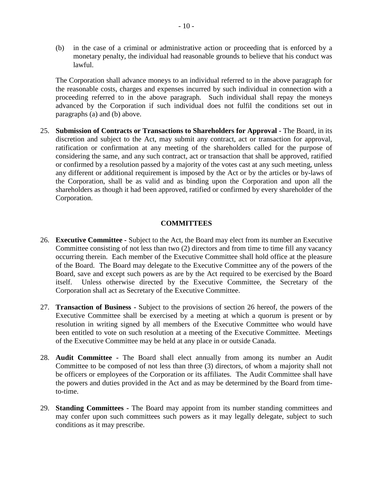(b) in the case of a criminal or administrative action or proceeding that is enforced by a monetary penalty, the individual had reasonable grounds to believe that his conduct was lawful.

The Corporation shall advance moneys to an individual referred to in the above paragraph for the reasonable costs, charges and expenses incurred by such individual in connection with a proceeding referred to in the above paragraph. Such individual shall repay the moneys advanced by the Corporation if such individual does not fulfil the conditions set out in paragraphs (a) and (b) above.

25. **Submission of Contracts or Transactions to Shareholders for Approval -** The Board, in its discretion and subject to the Act, may submit any contract, act or transaction for approval, ratification or confirmation at any meeting of the shareholders called for the purpose of considering the same, and any such contract, act or transaction that shall be approved, ratified or confirmed by a resolution passed by a majority of the votes cast at any such meeting, unless any different or additional requirement is imposed by the Act or by the articles or by-laws of the Corporation, shall be as valid and as binding upon the Corporation and upon all the shareholders as though it had been approved, ratified or confirmed by every shareholder of the Corporation.

### **COMMITTEES**

- <span id="page-9-0"></span>26. **Executive Committee -** Subject to the Act, the Board may elect from its number an Executive Committee consisting of not less than two (2) directors and from time to time fill any vacancy occurring therein. Each member of the Executive Committee shall hold office at the pleasure of the Board. The Board may delegate to the Executive Committee any of the powers of the Board, save and except such powers as are by the Act required to be exercised by the Board itself. Unless otherwise directed by the Executive Committee, the Secretary of the Corporation shall act as Secretary of the Executive Committee.
- 27. **Transaction of Business -** Subject to the provisions of section [26](#page-9-0) hereof, the powers of the Executive Committee shall be exercised by a meeting at which a quorum is present or by resolution in writing signed by all members of the Executive Committee who would have been entitled to vote on such resolution at a meeting of the Executive Committee. Meetings of the Executive Committee may be held at any place in or outside Canada.
- 28. **Audit Committee -** The Board shall elect annually from among its number an Audit Committee to be composed of not less than three (3) directors, of whom a majority shall not be officers or employees of the Corporation or its affiliates. The Audit Committee shall have the powers and duties provided in the Act and as may be determined by the Board from timeto-time.
- 29. **Standing Committees -** The Board may appoint from its number standing committees and may confer upon such committees such powers as it may legally delegate, subject to such conditions as it may prescribe.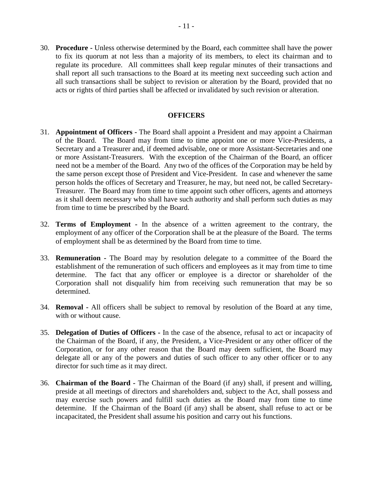30. **Procedure -** Unless otherwise determined by the Board, each committee shall have the power to fix its quorum at not less than a majority of its members, to elect its chairman and to regulate its procedure. All committees shall keep regular minutes of their transactions and shall report all such transactions to the Board at its meeting next succeeding such action and all such transactions shall be subject to revision or alteration by the Board, provided that no acts or rights of third parties shall be affected or invalidated by such revision or alteration.

## **OFFICERS**

- 31. **Appointment of Officers -** The Board shall appoint a President and may appoint a Chairman of the Board. The Board may from time to time appoint one or more Vice-Presidents, a Secretary and a Treasurer and, if deemed advisable, one or more Assistant-Secretaries and one or more Assistant-Treasurers. With the exception of the Chairman of the Board, an officer need not be a member of the Board. Any two of the offices of the Corporation may be held by the same person except those of President and Vice-President. In case and whenever the same person holds the offices of Secretary and Treasurer, he may, but need not, be called Secretary-Treasurer. The Board may from time to time appoint such other officers, agents and attorneys as it shall deem necessary who shall have such authority and shall perform such duties as may from time to time be prescribed by the Board.
- 32. **Terms of Employment -** In the absence of a written agreement to the contrary, the employment of any officer of the Corporation shall be at the pleasure of the Board. The terms of employment shall be as determined by the Board from time to time.
- 33. **Remuneration -** The Board may by resolution delegate to a committee of the Board the establishment of the remuneration of such officers and employees as it may from time to time determine. The fact that any officer or employee is a director or shareholder of the Corporation shall not disqualify him from receiving such remuneration that may be so determined.
- 34. **Removal -** All officers shall be subject to removal by resolution of the Board at any time, with or without cause.
- 35. **Delegation of Duties of Officers -** In the case of the absence, refusal to act or incapacity of the Chairman of the Board, if any, the President, a Vice-President or any other officer of the Corporation, or for any other reason that the Board may deem sufficient, the Board may delegate all or any of the powers and duties of such officer to any other officer or to any director for such time as it may direct.
- 36. **Chairman of the Board -** The Chairman of the Board (if any) shall, if present and willing, preside at all meetings of directors and shareholders and, subject to the Act, shall possess and may exercise such powers and fulfill such duties as the Board may from time to time determine. If the Chairman of the Board (if any) shall be absent, shall refuse to act or be incapacitated, the President shall assume his position and carry out his functions.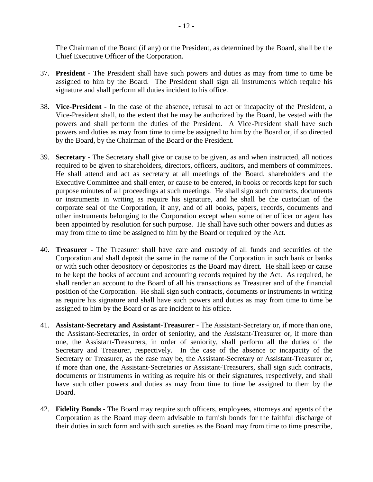The Chairman of the Board (if any) or the President, as determined by the Board, shall be the Chief Executive Officer of the Corporation.

- 37. **President -** The President shall have such powers and duties as may from time to time be assigned to him by the Board. The President shall sign all instruments which require his signature and shall perform all duties incident to his office.
- 38. **Vice-President -** In the case of the absence, refusal to act or incapacity of the President, a Vice-President shall, to the extent that he may be authorized by the Board, be vested with the powers and shall perform the duties of the President. A Vice-President shall have such powers and duties as may from time to time be assigned to him by the Board or, if so directed by the Board, by the Chairman of the Board or the President.
- 39. **Secretary -** The Secretary shall give or cause to be given, as and when instructed, all notices required to be given to shareholders, directors, officers, auditors, and members of committees. He shall attend and act as secretary at all meetings of the Board, shareholders and the Executive Committee and shall enter, or cause to be entered, in books or records kept for such purpose minutes of all proceedings at such meetings. He shall sign such contracts, documents or instruments in writing as require his signature, and he shall be the custodian of the corporate seal of the Corporation, if any, and of all books, papers, records, documents and other instruments belonging to the Corporation except when some other officer or agent has been appointed by resolution for such purpose. He shall have such other powers and duties as may from time to time be assigned to him by the Board or required by the Act.
- 40. **Treasurer -** The Treasurer shall have care and custody of all funds and securities of the Corporation and shall deposit the same in the name of the Corporation in such bank or banks or with such other depository or depositories as the Board may direct. He shall keep or cause to be kept the books of account and accounting records required by the Act. As required, he shall render an account to the Board of all his transactions as Treasurer and of the financial position of the Corporation. He shall sign such contracts, documents or instruments in writing as require his signature and shall have such powers and duties as may from time to time be assigned to him by the Board or as are incident to his office.
- 41. **Assistant-Secretary and Assistant-Treasurer -** The Assistant-Secretary or, if more than one, the Assistant-Secretaries, in order of seniority, and the Assistant-Treasurer or, if more than one, the Assistant-Treasurers, in order of seniority, shall perform all the duties of the Secretary and Treasurer, respectively. In the case of the absence or incapacity of the Secretary or Treasurer, as the case may be, the Assistant-Secretary or Assistant-Treasurer or, if more than one, the Assistant-Secretaries or Assistant-Treasurers, shall sign such contracts, documents or instruments in writing as require his or their signatures, respectively, and shall have such other powers and duties as may from time to time be assigned to them by the Board.
- 42. **Fidelity Bonds -** The Board may require such officers, employees, attorneys and agents of the Corporation as the Board may deem advisable to furnish bonds for the faithful discharge of their duties in such form and with such sureties as the Board may from time to time prescribe,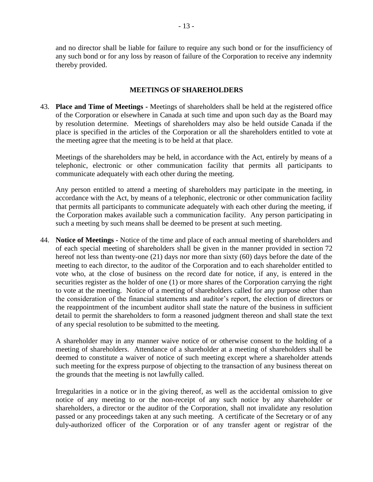and no director shall be liable for failure to require any such bond or for the insufficiency of any such bond or for any loss by reason of failure of the Corporation to receive any indemnity thereby provided.

## **MEETINGS OF SHAREHOLDERS**

43. **Place and Time of Meetings -** Meetings of shareholders shall be held at the registered office of the Corporation or elsewhere in Canada at such time and upon such day as the Board may by resolution determine. Meetings of shareholders may also be held outside Canada if the place is specified in the articles of the Corporation or all the shareholders entitled to vote at the meeting agree that the meeting is to be held at that place.

Meetings of the shareholders may be held, in accordance with the Act, entirely by means of a telephonic, electronic or other communication facility that permits all participants to communicate adequately with each other during the meeting.

Any person entitled to attend a meeting of shareholders may participate in the meeting, in accordance with the Act, by means of a telephonic, electronic or other communication facility that permits all participants to communicate adequately with each other during the meeting, if the Corporation makes available such a communication facility. Any person participating in such a meeting by such means shall be deemed to be present at such meeting.

44. **Notice of Meetings -** Notice of the time and place of each annual meeting of shareholders and of each special meeting of shareholders shall be given in the manner provided in section [72](#page-19-0) hereof not less than twenty-one (21) days nor more than sixty (60) days before the date of the meeting to each director, to the auditor of the Corporation and to each shareholder entitled to vote who, at the close of business on the record date for notice, if any, is entered in the securities register as the holder of one (1) or more shares of the Corporation carrying the right to vote at the meeting. Notice of a meeting of shareholders called for any purpose other than the consideration of the financial statements and auditor's report, the election of directors or the reappointment of the incumbent auditor shall state the nature of the business in sufficient detail to permit the shareholders to form a reasoned judgment thereon and shall state the text of any special resolution to be submitted to the meeting.

A shareholder may in any manner waive notice of or otherwise consent to the holding of a meeting of shareholders. Attendance of a shareholder at a meeting of shareholders shall be deemed to constitute a waiver of notice of such meeting except where a shareholder attends such meeting for the express purpose of objecting to the transaction of any business thereat on the grounds that the meeting is not lawfully called.

Irregularities in a notice or in the giving thereof, as well as the accidental omission to give notice of any meeting to or the non-receipt of any such notice by any shareholder or shareholders, a director or the auditor of the Corporation, shall not invalidate any resolution passed or any proceedings taken at any such meeting. A certificate of the Secretary or of any duly-authorized officer of the Corporation or of any transfer agent or registrar of the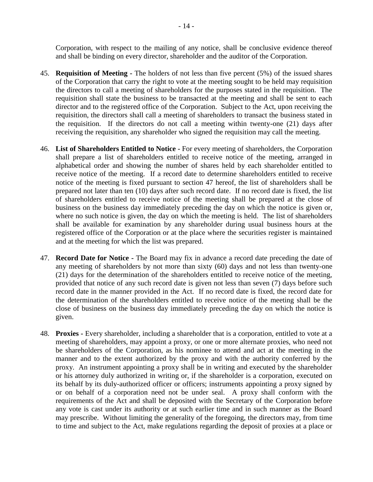Corporation, with respect to the mailing of any notice, shall be conclusive evidence thereof and shall be binding on every director, shareholder and the auditor of the Corporation.

- 45. **Requisition of Meeting -** The holders of not less than five percent (5%) of the issued shares of the Corporation that carry the right to vote at the meeting sought to be held may requisition the directors to call a meeting of shareholders for the purposes stated in the requisition. The requisition shall state the business to be transacted at the meeting and shall be sent to each director and to the registered office of the Corporation. Subject to the Act, upon receiving the requisition, the directors shall call a meeting of shareholders to transact the business stated in the requisition. If the directors do not call a meeting within twenty-one (21) days after receiving the requisition, any shareholder who signed the requisition may call the meeting.
- <span id="page-13-1"></span>46. **List of Shareholders Entitled to Notice -** For every meeting of shareholders, the Corporation shall prepare a list of shareholders entitled to receive notice of the meeting, arranged in alphabetical order and showing the number of shares held by each shareholder entitled to receive notice of the meeting. If a record date to determine shareholders entitled to receive notice of the meeting is fixed pursuant to section [47](#page-13-0) hereof, the list of shareholders shall be prepared not later than ten (10) days after such record date. If no record date is fixed, the list of shareholders entitled to receive notice of the meeting shall be prepared at the close of business on the business day immediately preceding the day on which the notice is given or, where no such notice is given, the day on which the meeting is held. The list of shareholders shall be available for examination by any shareholder during usual business hours at the registered office of the Corporation or at the place where the securities register is maintained and at the meeting for which the list was prepared.
- <span id="page-13-0"></span>47. **Record Date for Notice -** The Board may fix in advance a record date preceding the date of any meeting of shareholders by not more than sixty (60) days and not less than twenty-one (21) days for the determination of the shareholders entitled to receive notice of the meeting, provided that notice of any such record date is given not less than seven (7) days before such record date in the manner provided in the Act. If no record date is fixed, the record date for the determination of the shareholders entitled to receive notice of the meeting shall be the close of business on the business day immediately preceding the day on which the notice is given.
- 48. **Proxies -** Every shareholder, including a shareholder that is a corporation, entitled to vote at a meeting of shareholders, may appoint a proxy, or one or more alternate proxies, who need not be shareholders of the Corporation, as his nominee to attend and act at the meeting in the manner and to the extent authorized by the proxy and with the authority conferred by the proxy. An instrument appointing a proxy shall be in writing and executed by the shareholder or his attorney duly authorized in writing or, if the shareholder is a corporation, executed on its behalf by its duly-authorized officer or officers; instruments appointing a proxy signed by or on behalf of a corporation need not be under seal. A proxy shall conform with the requirements of the Act and shall be deposited with the Secretary of the Corporation before any vote is cast under its authority or at such earlier time and in such manner as the Board may prescribe. Without limiting the generality of the foregoing, the directors may, from time to time and subject to the Act, make regulations regarding the deposit of proxies at a place or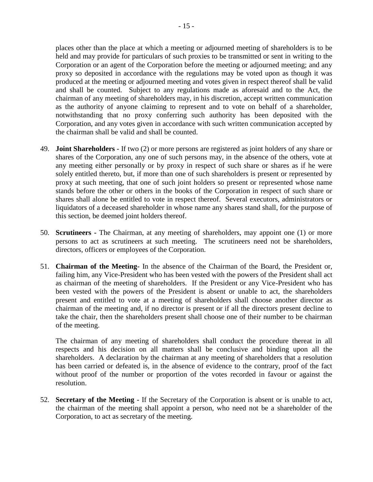places other than the place at which a meeting or adjourned meeting of shareholders is to be held and may provide for particulars of such proxies to be transmitted or sent in writing to the Corporation or an agent of the Corporation before the meeting or adjourned meeting; and any proxy so deposited in accordance with the regulations may be voted upon as though it was produced at the meeting or adjourned meeting and votes given in respect thereof shall be valid and shall be counted. Subject to any regulations made as aforesaid and to the Act, the chairman of any meeting of shareholders may, in his discretion, accept written communication as the authority of anyone claiming to represent and to vote on behalf of a shareholder, notwithstanding that no proxy conferring such authority has been deposited with the Corporation, and any votes given in accordance with such written communication accepted by the chairman shall be valid and shall be counted.

- 49. **Joint Shareholders -** If two (2) or more persons are registered as joint holders of any share or shares of the Corporation, any one of such persons may, in the absence of the others, vote at any meeting either personally or by proxy in respect of such share or shares as if he were solely entitled thereto, but, if more than one of such shareholders is present or represented by proxy at such meeting, that one of such joint holders so present or represented whose name stands before the other or others in the books of the Corporation in respect of such share or shares shall alone be entitled to vote in respect thereof. Several executors, administrators or liquidators of a deceased shareholder in whose name any shares stand shall, for the purpose of this section, be deemed joint holders thereof.
- 50. **Scrutineers -** The Chairman, at any meeting of shareholders, may appoint one (1) or more persons to act as scrutineers at such meeting. The scrutineers need not be shareholders, directors, officers or employees of the Corporation.
- 51. **Chairman of the Meeting-** In the absence of the Chairman of the Board, the President or, failing him, any Vice-President who has been vested with the powers of the President shall act as chairman of the meeting of shareholders. If the President or any Vice-President who has been vested with the powers of the President is absent or unable to act, the shareholders present and entitled to vote at a meeting of shareholders shall choose another director as chairman of the meeting and, if no director is present or if all the directors present decline to take the chair, then the shareholders present shall choose one of their number to be chairman of the meeting.

The chairman of any meeting of shareholders shall conduct the procedure thereat in all respects and his decision on all matters shall be conclusive and binding upon all the shareholders. A declaration by the chairman at any meeting of shareholders that a resolution has been carried or defeated is, in the absence of evidence to the contrary, proof of the fact without proof of the number or proportion of the votes recorded in favour or against the resolution.

52. **Secretary of the Meeting -** If the Secretary of the Corporation is absent or is unable to act, the chairman of the meeting shall appoint a person, who need not be a shareholder of the Corporation, to act as secretary of the meeting.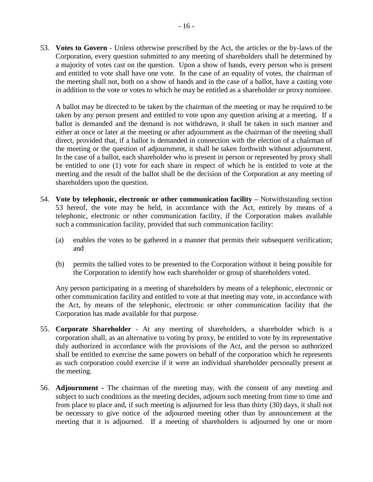<span id="page-15-0"></span>53. **Votes to Govern** - Unless otherwise prescribed by the Act, the articles or the by-laws of the Corporation, every question submitted to any meeting of shareholders shall be determined by a majority of votes cast on the question. Upon a show of hands, every person who is present and entitled to vote shall have one vote. In the case of an equality of votes, the chairman of the meeting shall not, both on a show of hands and in the case of a ballot, have a casting vote in addition to the vote or votes to which he may be entitled as a shareholder or proxy nominee.

A ballot may be directed to be taken by the chairman of the meeting or may be required to be taken by any person present and entitled to vote upon any question arising at a meeting. If a ballot is demanded and the demand is not withdrawn, it shall be taken in such manner and either at once or later at the meeting or after adjournment as the chairman of the meeting shall direct, provided that, if a ballot is demanded in connection with the election of a chairman of the meeting or the question of adjournment, it shall be taken forthwith without adjournment. In the case of a ballot, each shareholder who is present in person or represented by proxy shall be entitled to one (1) vote for each share in respect of which he is entitled to vote at the meeting and the result of the ballot shall be the decision of the Corporation at any meeting of shareholders upon the question.

- 54. **Vote by telephonic, electronic or other communication facility –** Notwithstanding section [53](#page-15-0) hereof, the vote may be held, in accordance with the Act, entirely by means of a telephonic, electronic or other communication facility, if the Corporation makes available such a communication facility, provided that such communication facility:
	- (a) enables the votes to be gathered in a manner that permits their subsequent verification; and
	- (b) permits the tallied votes to be presented to the Corporation without it being possible for the Corporation to identify how each shareholder or group of shareholders voted.

Any person participating in a meeting of shareholders by means of a telephonic, electronic or other communication facility and entitled to vote at that meeting may vote, in accordance with the Act, by means of the telephonic, electronic or other communication facility that the Corporation has made available for that purpose.

- 55. **Corporate Shareholder** At any meeting of shareholders, a shareholder which is a corporation shall, as an alternative to voting by proxy, be entitled to vote by its representative duly authorized in accordance with the provisions of the Act, and the person so authorized shall be entitled to exercise the same powers on behalf of the corporation which he represents as such corporation could exercise if it were an individual shareholder personally present at the meeting.
- 56. **Adjournment -** The chairman of the meeting may, with the consent of any meeting and subject to such conditions as the meeting decides, adjourn such meeting from time to time and from place to place and, if such meeting is adjourned for less than thirty (30) days, it shall not be necessary to give notice of the adjourned meeting other than by announcement at the meeting that it is adjourned. If a meeting of shareholders is adjourned by one or more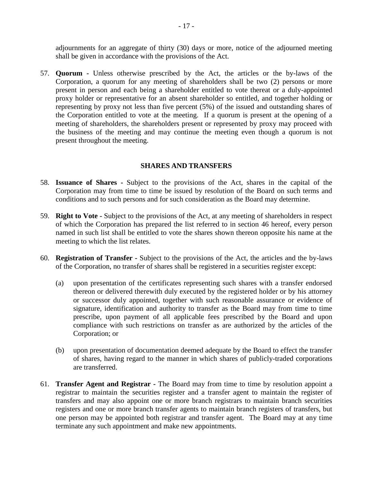adjournments for an aggregate of thirty (30) days or more, notice of the adjourned meeting shall be given in accordance with the provisions of the Act.

57. **Quorum -** Unless otherwise prescribed by the Act, the articles or the by-laws of the Corporation, a quorum for any meeting of shareholders shall be two (2) persons or more present in person and each being a shareholder entitled to vote thereat or a duly-appointed proxy holder or representative for an absent shareholder so entitled, and together holding or representing by proxy not less than five percent (5%) of the issued and outstanding shares of the Corporation entitled to vote at the meeting. If a quorum is present at the opening of a meeting of shareholders, the shareholders present or represented by proxy may proceed with the business of the meeting and may continue the meeting even though a quorum is not present throughout the meeting.

## **SHARES AND TRANSFERS**

- 58. **Issuance of Shares -** Subject to the provisions of the Act, shares in the capital of the Corporation may from time to time be issued by resolution of the Board on such terms and conditions and to such persons and for such consideration as the Board may determine.
- 59. **Right to Vote -** Subject to the provisions of the Act, at any meeting of shareholders in respect of which the Corporation has prepared the list referred to in section [46](#page-13-1) hereof, every person named in such list shall be entitled to vote the shares shown thereon opposite his name at the meeting to which the list relates.
- 60. **Registration of Transfer -** Subject to the provisions of the Act, the articles and the by-laws of the Corporation, no transfer of shares shall be registered in a securities register except:
	- (a) upon presentation of the certificates representing such shares with a transfer endorsed thereon or delivered therewith duly executed by the registered holder or by his attorney or successor duly appointed, together with such reasonable assurance or evidence of signature, identification and authority to transfer as the Board may from time to time prescribe, upon payment of all applicable fees prescribed by the Board and upon compliance with such restrictions on transfer as are authorized by the articles of the Corporation; or
	- (b) upon presentation of documentation deemed adequate by the Board to effect the transfer of shares, having regard to the manner in which shares of publicly-traded corporations are transferred.
- 61. **Transfer Agent and Registrar -** The Board may from time to time by resolution appoint a registrar to maintain the securities register and a transfer agent to maintain the register of transfers and may also appoint one or more branch registrars to maintain branch securities registers and one or more branch transfer agents to maintain branch registers of transfers, but one person may be appointed both registrar and transfer agent. The Board may at any time terminate any such appointment and make new appointments.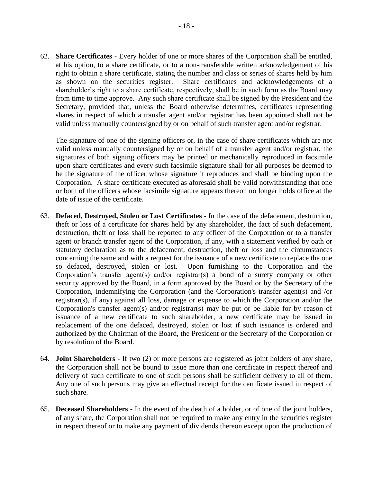62. **Share Certificates -** Every holder of one or more shares of the Corporation shall be entitled, at his option, to a share certificate, or to a non-transferable written acknowledgement of his right to obtain a share certificate, stating the number and class or series of shares held by him as shown on the securities register. Share certificates and acknowledgements of a shareholder's right to a share certificate, respectively, shall be in such form as the Board may from time to time approve. Any such share certificate shall be signed by the President and the Secretary, provided that, unless the Board otherwise determines, certificates representing shares in respect of which a transfer agent and/or registrar has been appointed shall not be valid unless manually countersigned by or on behalf of such transfer agent and/or registrar.

The signature of one of the signing officers or, in the case of share certificates which are not valid unless manually countersigned by or on behalf of a transfer agent and/or registrar, the signatures of both signing officers may be printed or mechanically reproduced in facsimile upon share certificates and every such facsimile signature shall for all purposes be deemed to be the signature of the officer whose signature it reproduces and shall be binding upon the Corporation. A share certificate executed as aforesaid shall be valid notwithstanding that one or both of the officers whose facsimile signature appears thereon no longer holds office at the date of issue of the certificate.

- 63. **Defaced, Destroyed, Stolen or Lost Certificates -** In the case of the defacement, destruction, theft or loss of a certificate for shares held by any shareholder, the fact of such defacement, destruction, theft or loss shall be reported to any officer of the Corporation or to a transfer agent or branch transfer agent of the Corporation, if any, with a statement verified by oath or statutory declaration as to the defacement, destruction, theft or loss and the circumstances concerning the same and with a request for the issuance of a new certificate to replace the one so defaced, destroyed, stolen or lost. Upon furnishing to the Corporation and the Corporation's transfer agent(s) and/or registrar(s) a bond of a surety company or other security approved by the Board, in a form approved by the Board or by the Secretary of the Corporation, indemnifying the Corporation (and the Corporation's transfer agent(s) and /or registrar(s), if any) against all loss, damage or expense to which the Corporation and/or the Corporation's transfer agent(s) and/or registrar(s) may be put or be liable for by reason of issuance of a new certificate to such shareholder, a new certificate may be issued in replacement of the one defaced, destroyed, stolen or lost if such issuance is ordered and authorized by the Chairman of the Board, the President or the Secretary of the Corporation or by resolution of the Board.
- 64. **Joint Shareholders -** If two (2) or more persons are registered as joint holders of any share, the Corporation shall not be bound to issue more than one certificate in respect thereof and delivery of such certificate to one of such persons shall be sufficient delivery to all of them. Any one of such persons may give an effectual receipt for the certificate issued in respect of such share.
- 65. **Deceased Shareholders -** In the event of the death of a holder, or of one of the joint holders, of any share, the Corporation shall not be required to make any entry in the securities register in respect thereof or to make any payment of dividends thereon except upon the production of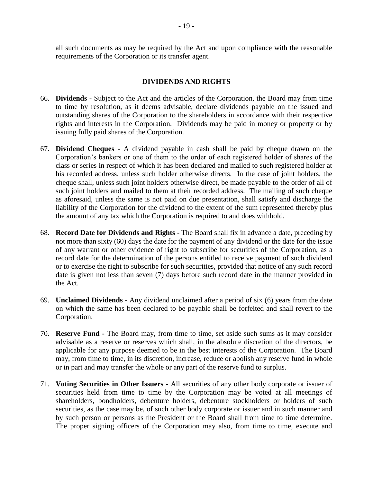all such documents as may be required by the Act and upon compliance with the reasonable requirements of the Corporation or its transfer agent.

# **DIVIDENDS AND RIGHTS**

- 66. **Dividends -** Subject to the Act and the articles of the Corporation, the Board may from time to time by resolution, as it deems advisable, declare dividends payable on the issued and outstanding shares of the Corporation to the shareholders in accordance with their respective rights and interests in the Corporation. Dividends may be paid in money or property or by issuing fully paid shares of the Corporation.
- 67. **Dividend Cheques -** A dividend payable in cash shall be paid by cheque drawn on the Corporation's bankers or one of them to the order of each registered holder of shares of the class or series in respect of which it has been declared and mailed to such registered holder at his recorded address, unless such holder otherwise directs. In the case of joint holders, the cheque shall, unless such joint holders otherwise direct, be made payable to the order of all of such joint holders and mailed to them at their recorded address. The mailing of such cheque as aforesaid, unless the same is not paid on due presentation, shall satisfy and discharge the liability of the Corporation for the dividend to the extent of the sum represented thereby plus the amount of any tax which the Corporation is required to and does withhold.
- 68. **Record Date for Dividends and Rights -** The Board shall fix in advance a date, preceding by not more than sixty (60) days the date for the payment of any dividend or the date for the issue of any warrant or other evidence of right to subscribe for securities of the Corporation, as a record date for the determination of the persons entitled to receive payment of such dividend or to exercise the right to subscribe for such securities, provided that notice of any such record date is given not less than seven (7) days before such record date in the manner provided in the Act.
- 69. **Unclaimed Dividends -** Any dividend unclaimed after a period of six (6) years from the date on which the same has been declared to be payable shall be forfeited and shall revert to the Corporation.
- 70. **Reserve Fund -** The Board may, from time to time, set aside such sums as it may consider advisable as a reserve or reserves which shall, in the absolute discretion of the directors, be applicable for any purpose deemed to be in the best interests of the Corporation. The Board may, from time to time, in its discretion, increase, reduce or abolish any reserve fund in whole or in part and may transfer the whole or any part of the reserve fund to surplus.
- 71. **Voting Securities in Other Issuers -** All securities of any other body corporate or issuer of securities held from time to time by the Corporation may be voted at all meetings of shareholders, bondholders, debenture holders, debenture stockholders or holders of such securities, as the case may be, of such other body corporate or issuer and in such manner and by such person or persons as the President or the Board shall from time to time determine. The proper signing officers of the Corporation may also, from time to time, execute and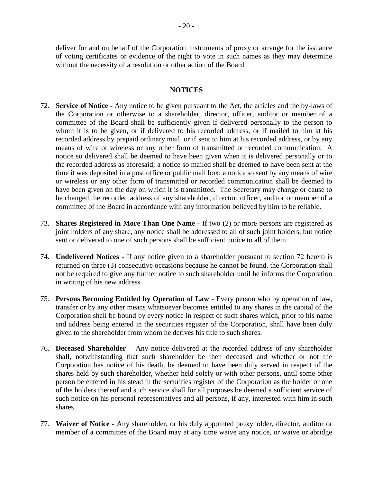deliver for and on behalf of the Corporation instruments of proxy or arrange for the issuance of voting certificates or evidence of the right to vote in such names as they may determine without the necessity of a resolution or other action of the Board.

# **NOTICES**

- <span id="page-19-0"></span>72. **Service of Notice -** Any notice to be given pursuant to the Act, the articles and the by-laws of the Corporation or otherwise to a shareholder, director, officer, auditor or member of a committee of the Board shall be sufficiently given if delivered personally to the person to whom it is to be given, or if delivered to his recorded address, or if mailed to him at his recorded address by prepaid ordinary mail, or if sent to him at his recorded address, or by any means of wire or wireless or any other form of transmitted or recorded communication. A notice so delivered shall be deemed to have been given when it is delivered personally or to the recorded address as aforesaid; a notice so mailed shall be deemed to have been sent at the time it was deposited in a post office or public mail box; a notice so sent by any means of wire or wireless or any other form of transmitted or recorded communication shall be deemed to have been given on the day on which it is transmitted. The Secretary may change or cause to be changed the recorded address of any shareholder, director, officer, auditor or member of a committee of the Board in accordance with any information believed by him to be reliable.
- 73. **Shares Registered in More Than One Name -** If two (2) or more persons are registered as joint holders of any share, any notice shall be addressed to all of such joint holders, but notice sent or delivered to one of such persons shall be sufficient notice to all of them.
- 74. **Undelivered Notices -** If any notice given to a shareholder pursuant to section [72](#page-19-0) hereto is returned on three (3) consecutive occasions because he cannot be found, the Corporation shall not be required to give any further notice to such shareholder until he informs the Corporation in writing of his new address.
- 75. **Persons Becoming Entitled by Operation of Law -** Every person who by operation of law, transfer or by any other means whatsoever becomes entitled to any shares in the capital of the Corporation shall be bound by every notice in respect of such shares which, prior to his name and address being entered in the securities register of the Corporation, shall have been duly given to the shareholder from whom he derives his title to such shares.
- 76. **Deceased Shareholder –** Any notice delivered at the recorded address of any shareholder shall, notwithstanding that such shareholder be then deceased and whether or not the Corporation has notice of his death, be deemed to have been duly served in respect of the shares held by such shareholder, whether held solely or with other persons, until some other person be entered in his stead in the securities register of the Corporation as the holder or one of the holders thereof and such service shall for all purposes be deemed a sufficient service of such notice on his personal representatives and all persons, if any, interested with him in such shares.
- 77. **Waiver of Notice -** Any shareholder, or his duly appointed proxyholder, director, auditor or member of a committee of the Board may at any time waive any notice, or waive or abridge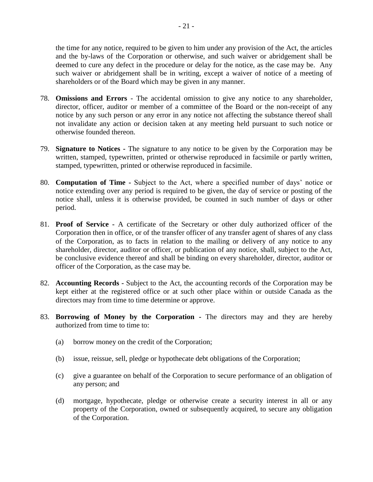the time for any notice, required to be given to him under any provision of the Act, the articles and the by-laws of the Corporation or otherwise, and such waiver or abridgement shall be deemed to cure any defect in the procedure or delay for the notice, as the case may be. Any such waiver or abridgement shall be in writing, except a waiver of notice of a meeting of shareholders or of the Board which may be given in any manner.

- 78. **Omissions and Errors** The accidental omission to give any notice to any shareholder, director, officer, auditor or member of a committee of the Board or the non-receipt of any notice by any such person or any error in any notice not affecting the substance thereof shall not invalidate any action or decision taken at any meeting held pursuant to such notice or otherwise founded thereon.
- 79. **Signature to Notices -** The signature to any notice to be given by the Corporation may be written, stamped, typewritten, printed or otherwise reproduced in facsimile or partly written, stamped, typewritten, printed or otherwise reproduced in facsimile.
- 80. **Computation of Time -** Subject to the Act, where a specified number of days' notice or notice extending over any period is required to be given, the day of service or posting of the notice shall, unless it is otherwise provided, be counted in such number of days or other period.
- 81. **Proof of Service -** A certificate of the Secretary or other duly authorized officer of the Corporation then in office, or of the transfer officer of any transfer agent of shares of any class of the Corporation, as to facts in relation to the mailing or delivery of any notice to any shareholder, director, auditor or officer, or publication of any notice, shall, subject to the Act, be conclusive evidence thereof and shall be binding on every shareholder, director, auditor or officer of the Corporation, as the case may be.
- 82. **Accounting Records -** Subject to the Act, the accounting records of the Corporation may be kept either at the registered office or at such other place within or outside Canada as the directors may from time to time determine or approve.
- 83. **Borrowing of Money by the Corporation -** The directors may and they are hereby authorized from time to time to:
	- (a) borrow money on the credit of the Corporation;
	- (b) issue, reissue, sell, pledge or hypothecate debt obligations of the Corporation;
	- (c) give a guarantee on behalf of the Corporation to secure performance of an obligation of any person; and
	- (d) mortgage, hypothecate, pledge or otherwise create a security interest in all or any property of the Corporation, owned or subsequently acquired, to secure any obligation of the Corporation.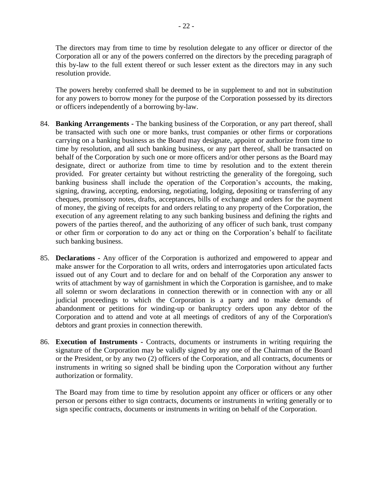The directors may from time to time by resolution delegate to any officer or director of the Corporation all or any of the powers conferred on the directors by the preceding paragraph of this by-law to the full extent thereof or such lesser extent as the directors may in any such resolution provide.

The powers hereby conferred shall be deemed to be in supplement to and not in substitution for any powers to borrow money for the purpose of the Corporation possessed by its directors or officers independently of a borrowing by-law.

- 84. **Banking Arrangements -** The banking business of the Corporation, or any part thereof, shall be transacted with such one or more banks, trust companies or other firms or corporations carrying on a banking business as the Board may designate, appoint or authorize from time to time by resolution, and all such banking business, or any part thereof, shall be transacted on behalf of the Corporation by such one or more officers and/or other persons as the Board may designate, direct or authorize from time to time by resolution and to the extent therein provided. For greater certainty but without restricting the generality of the foregoing, such banking business shall include the operation of the Corporation's accounts, the making, signing, drawing, accepting, endorsing, negotiating, lodging, depositing or transferring of any cheques, promissory notes, drafts, acceptances, bills of exchange and orders for the payment of money, the giving of receipts for and orders relating to any property of the Corporation, the execution of any agreement relating to any such banking business and defining the rights and powers of the parties thereof, and the authorizing of any officer of such bank, trust company or other firm or corporation to do any act or thing on the Corporation's behalf to facilitate such banking business.
- 85. **Declarations -** Any officer of the Corporation is authorized and empowered to appear and make answer for the Corporation to all writs, orders and interrogatories upon articulated facts issued out of any Court and to declare for and on behalf of the Corporation any answer to writs of attachment by way of garnishment in which the Corporation is garnishee, and to make all solemn or sworn declarations in connection therewith or in connection with any or all judicial proceedings to which the Corporation is a party and to make demands of abandonment or petitions for winding-up or bankruptcy orders upon any debtor of the Corporation and to attend and vote at all meetings of creditors of any of the Corporation's debtors and grant proxies in connection therewith.
- <span id="page-21-0"></span>86. **Execution of Instruments -** Contracts, documents or instruments in writing requiring the signature of the Corporation may be validly signed by any one of the Chairman of the Board or the President, or by any two (2) officers of the Corporation, and all contracts, documents or instruments in writing so signed shall be binding upon the Corporation without any further authorization or formality.

The Board may from time to time by resolution appoint any officer or officers or any other person or persons either to sign contracts, documents or instruments in writing generally or to sign specific contracts, documents or instruments in writing on behalf of the Corporation.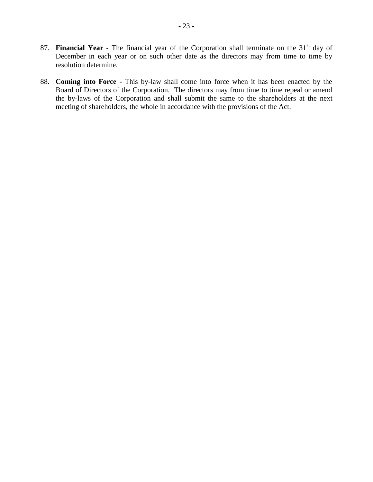- 87. **Financial Year -** The financial year of the Corporation shall terminate on the 31<sup>st</sup> day of December in each year or on such other date as the directors may from time to time by resolution determine.
- 88. **Coming into Force -** This by-law shall come into force when it has been enacted by the Board of Directors of the Corporation. The directors may from time to time repeal or amend the by-laws of the Corporation and shall submit the same to the shareholders at the next meeting of shareholders, the whole in accordance with the provisions of the Act.